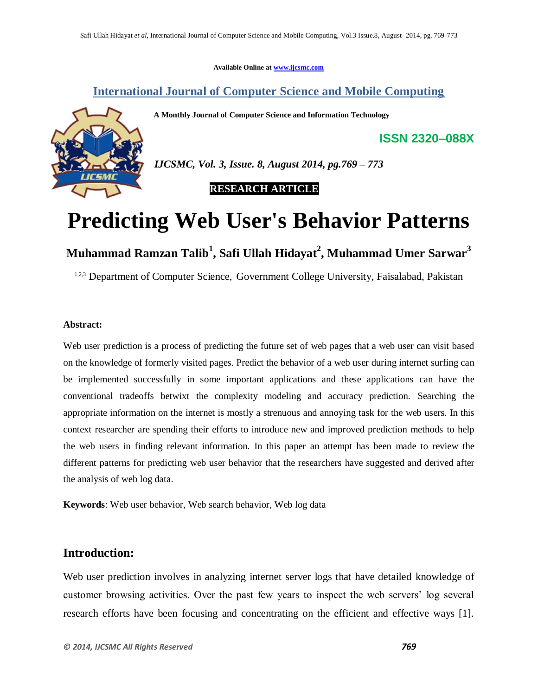**Available Online at www.ijcsmc.com**

## **International Journal of Computer Science and Mobile Computing**

**A Monthly Journal of Computer Science and Information Technology**



*IJCSMC, Vol. 3, Issue. 8, August 2014, pg.769 – 773*

 **RESEARCH ARTICLE**

# **Predicting Web User's Behavior Patterns**

**Muhammad Ramzan Talib<sup>1</sup> , Safi Ullah Hidayat<sup>2</sup> , Muhammad Umer Sarwar<sup>3</sup>**

<sup>1,2,3</sup> Department of Computer Science, Government College University, Faisalabad, Pakistan

#### **Abstract:**

Web user prediction is a process of predicting the future set of web pages that a web user can visit based on the knowledge of formerly visited pages. Predict the behavior of a web user during internet surfing can be implemented successfully in some important applications and these applications can have the conventional tradeoffs betwixt the complexity modeling and accuracy prediction. Searching the appropriate information on the internet is mostly a strenuous and annoying task for the web users. In this context researcher are spending their efforts to introduce new and improved prediction methods to help the web users in finding relevant information. In this paper an attempt has been made to review the different patterns for predicting web user behavior that the researchers have suggested and derived after the analysis of web log data.

**Keywords**: Web user behavior, Web search behavior, Web log data

## **Introduction:**

Web user prediction involves in analyzing internet server logs that have detailed knowledge of customer browsing activities. Over the past few years to inspect the web servers' log several research efforts have been focusing and concentrating on the efficient and effective ways [1].

**ISSN 2320–088X**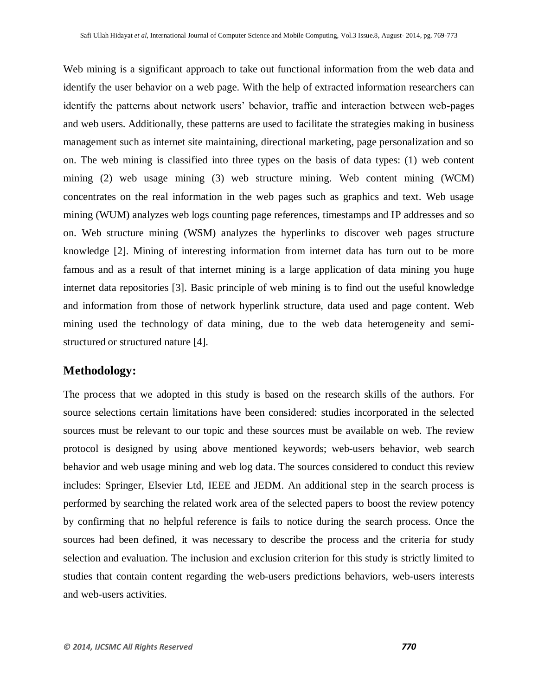Web mining is a significant approach to take out functional information from the web data and identify the user behavior on a web page. With the help of extracted information researchers can identify the patterns about network users' behavior, traffic and interaction between web-pages and web users. Additionally, these patterns are used to facilitate the strategies making in business management such as internet site maintaining, directional marketing, page personalization and so on. The web mining is classified into three types on the basis of data types: (1) web content mining (2) web usage mining (3) web structure mining. Web content mining (WCM) concentrates on the real information in the web pages such as graphics and text. Web usage mining (WUM) analyzes web logs counting page references, timestamps and IP addresses and so on. Web structure mining (WSM) analyzes the hyperlinks to discover web pages structure knowledge [2]. Mining of interesting information from internet data has turn out to be more famous and as a result of that internet mining is a large application of data mining you huge internet data repositories [3]. Basic principle of web mining is to find out the useful knowledge and information from those of network hyperlink structure, data used and page content. Web mining used the technology of data mining, due to the web data heterogeneity and semistructured or structured nature [4].

#### **Methodology:**

The process that we adopted in this study is based on the research skills of the authors. For source selections certain limitations have been considered: studies incorporated in the selected sources must be relevant to our topic and these sources must be available on web. The review protocol is designed by using above mentioned keywords; web-users behavior, web search behavior and web usage mining and web log data. The sources considered to conduct this review includes: Springer, Elsevier Ltd, IEEE and JEDM. An additional step in the search process is performed by searching the related work area of the selected papers to boost the review potency by confirming that no helpful reference is fails to notice during the search process. Once the sources had been defined, it was necessary to describe the process and the criteria for study selection and evaluation. The inclusion and exclusion criterion for this study is strictly limited to studies that contain content regarding the web-users predictions behaviors, web-users interests and web-users activities.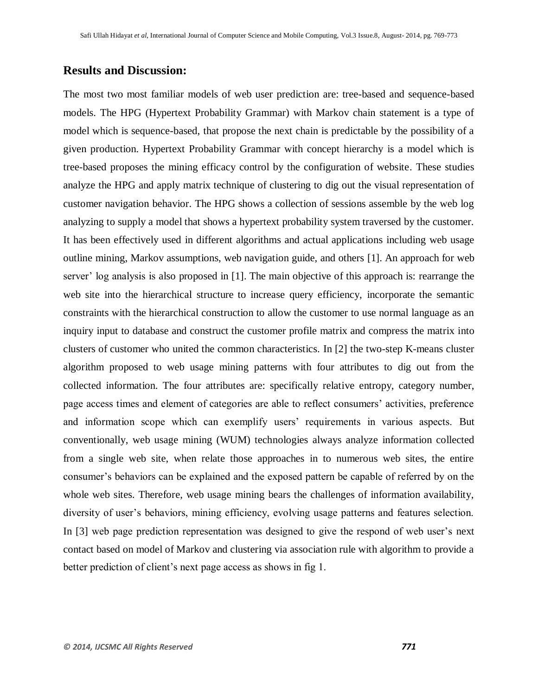## **Results and Discussion:**

The most two most familiar models of web user prediction are: tree-based and sequence-based models. The HPG (Hypertext Probability Grammar) with Markov chain statement is a type of model which is sequence-based, that propose the next chain is predictable by the possibility of a given production. Hypertext Probability Grammar with concept hierarchy is a model which is tree-based proposes the mining efficacy control by the configuration of website. These studies analyze the HPG and apply matrix technique of clustering to dig out the visual representation of customer navigation behavior. The HPG shows a collection of sessions assemble by the web log analyzing to supply a model that shows a hypertext probability system traversed by the customer. It has been effectively used in different algorithms and actual applications including web usage outline mining, Markov assumptions, web navigation guide, and others [1]. An approach for web server' log analysis is also proposed in [1]. The main objective of this approach is: rearrange the web site into the hierarchical structure to increase query efficiency, incorporate the semantic constraints with the hierarchical construction to allow the customer to use normal language as an inquiry input to database and construct the customer profile matrix and compress the matrix into clusters of customer who united the common characteristics. In [2] the two-step K-means cluster algorithm proposed to web usage mining patterns with four attributes to dig out from the collected information. The four attributes are: specifically relative entropy, category number, page access times and element of categories are able to reflect consumers' activities, preference and information scope which can exemplify users' requirements in various aspects. But conventionally, web usage mining (WUM) technologies always analyze information collected from a single web site, when relate those approaches in to numerous web sites, the entire consumer's behaviors can be explained and the exposed pattern be capable of referred by on the whole web sites. Therefore, web usage mining bears the challenges of information availability, diversity of user's behaviors, mining efficiency, evolving usage patterns and features selection. In [3] web page prediction representation was designed to give the respond of web user's next contact based on model of Markov and clustering via association rule with algorithm to provide a better prediction of client's next page access as shows in fig 1.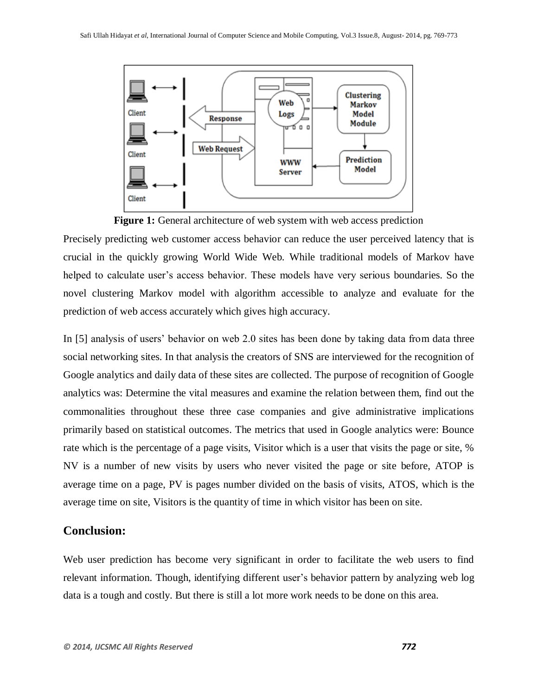



Precisely predicting web customer access behavior can reduce the user perceived latency that is crucial in the quickly growing World Wide Web. While traditional models of Markov have helped to calculate user's access behavior. These models have very serious boundaries. So the novel clustering Markov model with algorithm accessible to analyze and evaluate for the prediction of web access accurately which gives high accuracy.

In [5] analysis of users' behavior on web 2.0 sites has been done by taking data from data three social networking sites. In that analysis the creators of SNS are interviewed for the recognition of Google analytics and daily data of these sites are collected. The purpose of recognition of Google analytics was: Determine the vital measures and examine the relation between them, find out the commonalities throughout these three case companies and give administrative implications primarily based on statistical outcomes. The metrics that used in Google analytics were: Bounce rate which is the percentage of a page visits, Visitor which is a user that visits the page or site, % NV is a number of new visits by users who never visited the page or site before, ATOP is average time on a page, PV is pages number divided on the basis of visits, ATOS, which is the average time on site, Visitors is the quantity of time in which visitor has been on site.

### **Conclusion:**

Web user prediction has become very significant in order to facilitate the web users to find relevant information. Though, identifying different user's behavior pattern by analyzing web log data is a tough and costly. But there is still a lot more work needs to be done on this area.